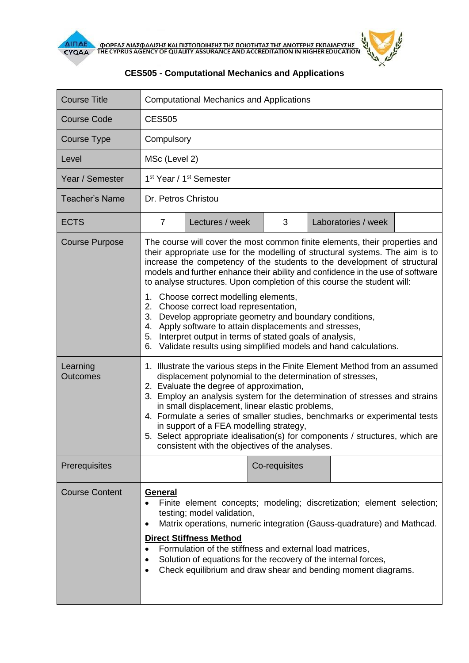

| <b>Course Title</b>                           | <b>Computational Mechanics and Applications</b>                                                                                                                                                                                                                                                                                                                                                                                                                                                                                                                                                                                                                                                                                                                                                                                                                                                      |                 |               |  |                     |  |
|-----------------------------------------------|------------------------------------------------------------------------------------------------------------------------------------------------------------------------------------------------------------------------------------------------------------------------------------------------------------------------------------------------------------------------------------------------------------------------------------------------------------------------------------------------------------------------------------------------------------------------------------------------------------------------------------------------------------------------------------------------------------------------------------------------------------------------------------------------------------------------------------------------------------------------------------------------------|-----------------|---------------|--|---------------------|--|
| Course Code                                   | <b>CES505</b>                                                                                                                                                                                                                                                                                                                                                                                                                                                                                                                                                                                                                                                                                                                                                                                                                                                                                        |                 |               |  |                     |  |
| Course Type                                   | Compulsory                                                                                                                                                                                                                                                                                                                                                                                                                                                                                                                                                                                                                                                                                                                                                                                                                                                                                           |                 |               |  |                     |  |
| Level                                         | MSc (Level 2)                                                                                                                                                                                                                                                                                                                                                                                                                                                                                                                                                                                                                                                                                                                                                                                                                                                                                        |                 |               |  |                     |  |
| Year / Semester                               | 1 <sup>st</sup> Year / 1 <sup>st</sup> Semester                                                                                                                                                                                                                                                                                                                                                                                                                                                                                                                                                                                                                                                                                                                                                                                                                                                      |                 |               |  |                     |  |
| <b>Teacher's Name</b>                         | Dr. Petros Christou                                                                                                                                                                                                                                                                                                                                                                                                                                                                                                                                                                                                                                                                                                                                                                                                                                                                                  |                 |               |  |                     |  |
| <b>ECTS</b>                                   | $\overline{7}$                                                                                                                                                                                                                                                                                                                                                                                                                                                                                                                                                                                                                                                                                                                                                                                                                                                                                       | Lectures / week | 3             |  | Laboratories / week |  |
| <b>Course Purpose</b><br>Learning<br>Outcomes | The course will cover the most common finite elements, their properties and<br>their appropriate use for the modelling of structural systems. The aim is to<br>increase the competency of the students to the development of structural<br>models and further enhance their ability and confidence in the use of software<br>to analyse structures. Upon completion of this course the student will:<br>1. Choose correct modelling elements,<br>2. Choose correct load representation,<br>3. Develop appropriate geometry and boundary conditions,<br>Apply software to attain displacements and stresses,<br>4.<br>5. Interpret output in terms of stated goals of analysis,<br>Validate results using simplified models and hand calculations.<br>6.<br>1. Illustrate the various steps in the Finite Element Method from an assumed<br>displacement polynomial to the determination of stresses, |                 |               |  |                     |  |
|                                               | 2. Evaluate the degree of approximation,<br>3. Employ an analysis system for the determination of stresses and strains<br>in small displacement, linear elastic problems,<br>4. Formulate a series of smaller studies, benchmarks or experimental tests<br>in support of a FEA modelling strategy,<br>5. Select appropriate idealisation(s) for components / structures, which are<br>consistent with the objectives of the analyses.                                                                                                                                                                                                                                                                                                                                                                                                                                                                |                 |               |  |                     |  |
| Prerequisites                                 |                                                                                                                                                                                                                                                                                                                                                                                                                                                                                                                                                                                                                                                                                                                                                                                                                                                                                                      |                 | Co-requisites |  |                     |  |
| <b>Course Content</b>                         | General<br>Finite element concepts; modeling; discretization; element selection;<br>testing; model validation,<br>Matrix operations, numeric integration (Gauss-quadrature) and Mathcad.<br><b>Direct Stiffness Method</b><br>Formulation of the stiffness and external load matrices,<br>Solution of equations for the recovery of the internal forces,<br>Check equilibrium and draw shear and bending moment diagrams.                                                                                                                                                                                                                                                                                                                                                                                                                                                                            |                 |               |  |                     |  |

## **CES505 - Computational Mechanics and Applications**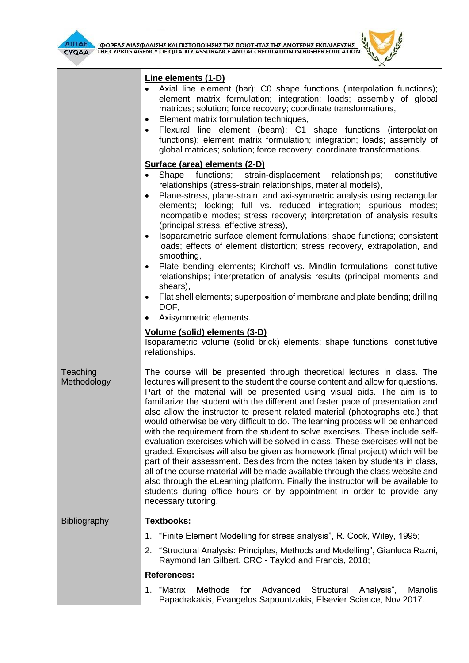

┱

Г



|                         | Line elements (1-D)<br>Axial line element (bar); C0 shape functions (interpolation functions);<br>element matrix formulation; integration; loads; assembly of global<br>matrices; solution; force recovery; coordinate transformations,<br>Element matrix formulation techniques,<br>٠<br>Flexural line element (beam); C1 shape functions (interpolation<br>٠<br>functions); element matrix formulation; integration; loads; assembly of<br>global matrices; solution; force recovery; coordinate transformations.<br>Surface (area) elements (2-D)<br>functions; strain-displacement<br>Shape<br>constitutive<br>relationships;<br>relationships (stress-strain relationships, material models),<br>Plane-stress, plane-strain, and axi-symmetric analysis using rectangular<br>٠<br>elements; locking; full vs. reduced integration; spurious modes;<br>incompatible modes; stress recovery; interpretation of analysis results<br>(principal stress, effective stress),<br>Isoparametric surface element formulations; shape functions; consistent<br>٠<br>loads; effects of element distortion; stress recovery, extrapolation, and<br>smoothing,<br>Plate bending elements; Kirchoff vs. Mindlin formulations; constitutive<br>$\bullet$<br>relationships; interpretation of analysis results (principal moments and<br>shears),<br>Flat shell elements; superposition of membrane and plate bending; drilling<br>٠<br>DOF,<br>Axisymmetric elements.<br>Volume (solid) elements (3-D)<br>Isoparametric volume (solid brick) elements; shape functions; constitutive |  |  |  |  |
|-------------------------|----------------------------------------------------------------------------------------------------------------------------------------------------------------------------------------------------------------------------------------------------------------------------------------------------------------------------------------------------------------------------------------------------------------------------------------------------------------------------------------------------------------------------------------------------------------------------------------------------------------------------------------------------------------------------------------------------------------------------------------------------------------------------------------------------------------------------------------------------------------------------------------------------------------------------------------------------------------------------------------------------------------------------------------------------------------------------------------------------------------------------------------------------------------------------------------------------------------------------------------------------------------------------------------------------------------------------------------------------------------------------------------------------------------------------------------------------------------------------------------------------------------------------------------------------------------------------|--|--|--|--|
| Teaching<br>Methodology | relationships.<br>The course will be presented through theoretical lectures in class. The<br>lectures will present to the student the course content and allow for questions.<br>Part of the material will be presented using visual aids. The aim is to<br>familiarize the student with the different and faster pace of presentation and<br>also allow the instructor to present related material (photographs etc.) that<br>would otherwise be very difficult to do. The learning process will be enhanced<br>with the requirement from the student to solve exercises. These include self-<br>evaluation exercises which will be solved in class. These exercises will not be<br>graded. Exercises will also be given as homework (final project) which will be<br>part of their assessment. Besides from the notes taken by students in class,<br>all of the course material will be made available through the class website and<br>also through the eLearning platform. Finally the instructor will be available to<br>students during office hours or by appointment in order to provide any<br>necessary tutoring.                                                                                                                                                                                                                                                                                                                                                                                                                                                |  |  |  |  |
| <b>Bibliography</b>     | <b>Textbooks:</b>                                                                                                                                                                                                                                                                                                                                                                                                                                                                                                                                                                                                                                                                                                                                                                                                                                                                                                                                                                                                                                                                                                                                                                                                                                                                                                                                                                                                                                                                                                                                                          |  |  |  |  |
|                         | "Finite Element Modelling for stress analysis", R. Cook, Wiley, 1995;<br>1.                                                                                                                                                                                                                                                                                                                                                                                                                                                                                                                                                                                                                                                                                                                                                                                                                                                                                                                                                                                                                                                                                                                                                                                                                                                                                                                                                                                                                                                                                                |  |  |  |  |
|                         | 2. "Structural Analysis: Principles, Methods and Modelling", Gianluca Razni,<br>Raymond Ian Gilbert, CRC - Taylod and Francis, 2018;                                                                                                                                                                                                                                                                                                                                                                                                                                                                                                                                                                                                                                                                                                                                                                                                                                                                                                                                                                                                                                                                                                                                                                                                                                                                                                                                                                                                                                       |  |  |  |  |
|                         | <b>References:</b>                                                                                                                                                                                                                                                                                                                                                                                                                                                                                                                                                                                                                                                                                                                                                                                                                                                                                                                                                                                                                                                                                                                                                                                                                                                                                                                                                                                                                                                                                                                                                         |  |  |  |  |
|                         | 1. "Matrix<br><b>Methods</b><br>Advanced<br>Structural<br>for<br>Analysis",<br><b>Manolis</b><br>Papadrakakis, Evangelos Sapountzakis, Elsevier Science, Nov 2017.                                                                                                                                                                                                                                                                                                                                                                                                                                                                                                                                                                                                                                                                                                                                                                                                                                                                                                                                                                                                                                                                                                                                                                                                                                                                                                                                                                                                         |  |  |  |  |